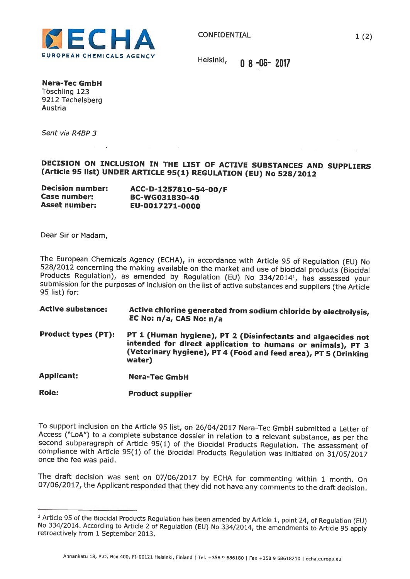

Nera-Tec GmbH Töschling 123 9212 Techelsberg Austria

Sent via R4BP 3

## DECISION ON INCLUSION IN THE LIST OF ACTIVE SUBSTANCES AND SUPPLIERS (Article <sup>95</sup> list) UNDER ARTICLE 95(1) REGULATION (EU) No 528/2012

| <b>Decision number:</b> | ACC-D-1257810-54-00/F |
|-------------------------|-----------------------|
| Case number:            | BC-WG031830-40        |
| <b>Asset number:</b>    | EU-0017271-0000       |

Dear Sir or Madam,

The European Chemicals Agency (ECHA), in accordance with Article 95 of Regulation (EU) No 528/2012 concerning the making available on the market and use of biocidal products (Biocidal Products Regulation), as amended by R

- Active substance: Active chlorine generated from sodium chloride by electrolysis, EC No: n/a, CAS No: n/a
- Product types (PT): PT <sup>1</sup> (Human hygiene), PT <sup>2</sup> (Disinfectants and algaecides not intended for direct application to humans or animals), PT <sup>3</sup> (Veterinary hygiene), PT <sup>4</sup> (Food and feed area), PT <sup>5</sup> (Drinking water)

Applicant: Nera-Tec GmbH

Role: Product supplier

To support inclusion on the Article <sup>95</sup> list, on 26/04/2017 Nera-Tec GmbH submitted <sup>a</sup> Letter of second subparagraph of Article 95(1) of the Biocidal Products Regulation. The assessment of compliance with Article 95(1) of the Biocidal Products Regulation was initiated on 31/05/2017 once the fee was paid.

The draft decision was sent on 07/06/2017 by ECHA for commenting within <sup>1</sup> month. On 07/06/2017, the Applicant responded that they did not have any comments to the draft decision.

<sup>&</sup>lt;sup>1</sup> Article 95 of the Biocidal Products Regulation has been amended by Article 1, point 24, of Regulation (EU) No 334/2014. According to Article 2 of Regulation (EU) No 334/2014, the amendments to Article 95 apply retroact